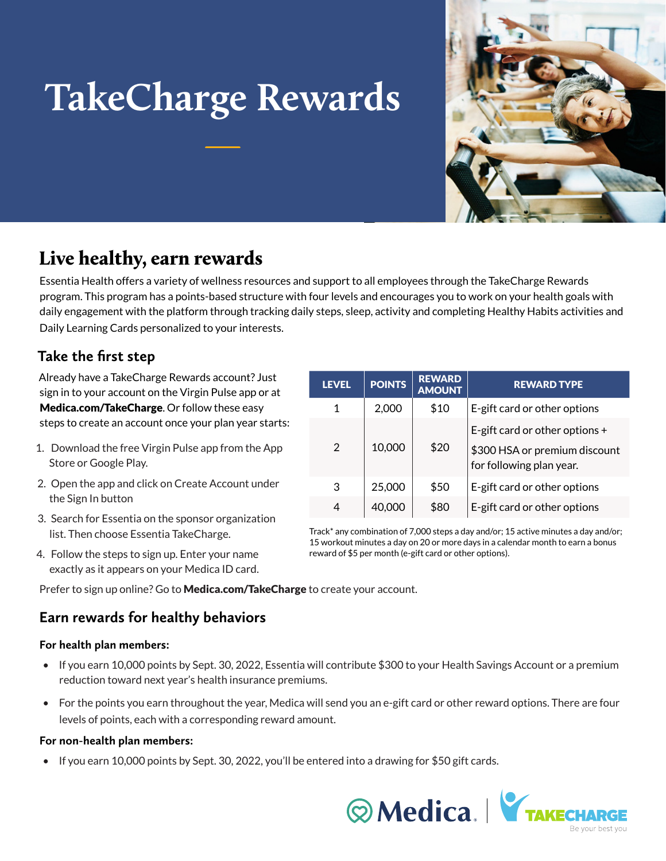# **TakeCharge Rewards**



# Live healthy, earn rewards

Essentia Health offers a variety of wellness resources and support to all employees through the TakeCharge Rewards program. This program has a points-based structure with four levels and encourages you to work on your health goals with daily engagement with the platform through tracking daily steps, sleep, activity and completing Healthy Habits activities and Daily Learning Cards personalized to your interests.

## **Take the first step**

Already have a TakeCharge Rewards account? Just sign in to your account on the Virgin Pulse app or at Medica.com/TakeCharge. Or follow these easy steps to create an account once your plan year starts:

- 1. Download the free Virgin Pulse app from the App Store or Google Play.
- 2. Open the app and click on Create Account under the Sign In button
- 3. Search for Essentia on the sponsor organization list. Then choose Essentia TakeCharge.
- 4. Follow the steps to sign up. Enter your name exactly as it appears on your Medica ID card.

| <b>LEVEL</b> | <b>POINTS</b> | <b>REWARD</b><br><b>AMOUNT</b> | <b>REWARD TYPE</b>                                                                            |
|--------------|---------------|--------------------------------|-----------------------------------------------------------------------------------------------|
| 1            | 2,000         | \$10                           | E-gift card or other options                                                                  |
| 2            | 10,000        | \$20                           | E-gift card or other options $+$<br>\$300 HSA or premium discount<br>for following plan year. |
| 3            | 25,000        | \$50                           | E-gift card or other options                                                                  |
| 4            | 40,000        | \$80                           | E-gift card or other options                                                                  |

Track\* any combination of 7,000 steps a day and/or; 15 active minutes a day and/or; 15 workout minutes a day on 20 or more days in a calendar month to earn a bonus reward of \$5 per month (e-gift card or other options).

Prefer to sign up online? Go to Medica.com/TakeCharge to create your account.

### **Earn rewards for healthy behaviors**

#### **For health plan members:**

- If you earn 10,000 points by Sept. 30, 2022, Essentia will contribute \$300 to your Health Savings Account or a premium reduction toward next year's health insurance premiums.
- For the points you earn throughout the year, Medica will send you an e-gift card or other reward options. There are four levels of points, each with a corresponding reward amount.

#### **For non-health plan members:**

• If you earn 10,000 points by Sept. 30, 2022, you'll be entered into a drawing for \$50 gift cards.